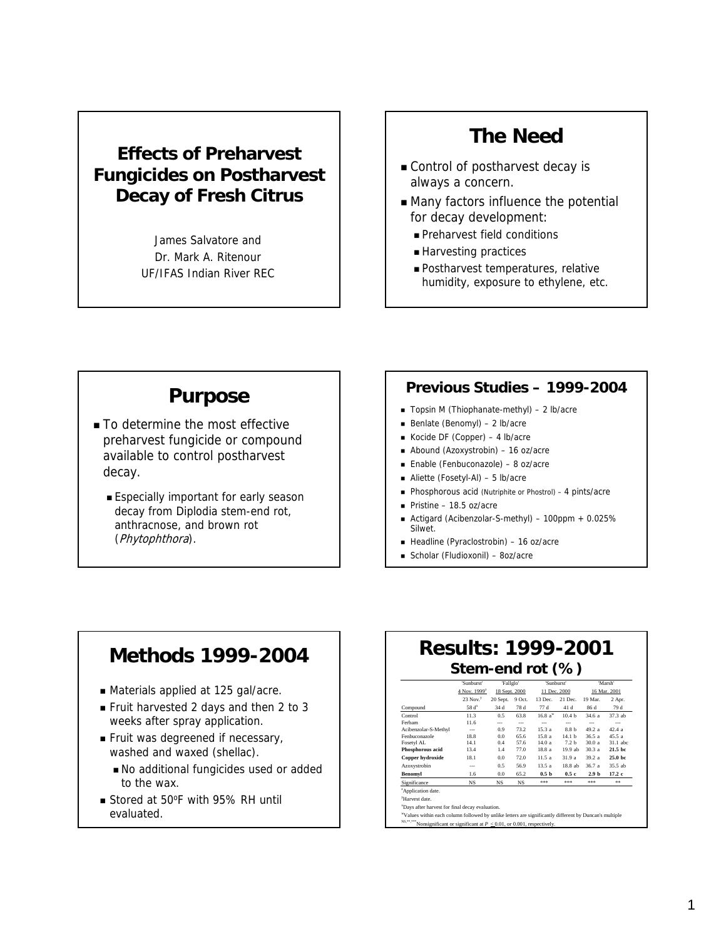#### **Effects of Preharvest Fungicides on Postharvest Decay of Fresh Citrus**

James Salvatore and Dr. Mark A. Ritenour UF/IFAS Indian River REC

# **The Need**

- Control of postharvest decay is always a concern.
- Many factors influence the potential for decay development:
	- Preharvest field conditions
	- Harvesting practices
	- Postharvest temperatures, relative humidity, exposure to ethylene, etc.

#### **Purpose**

- To determine the most effective preharvest fungicide or compound available to control postharvest decay.
	- **Especially important for early season** decay from Diplodia stem-end rot, anthracnose, and brown rot (Phytophthora).

#### **Previous Studies – 1999-2004**

- Topsin M (Thiophanate-methyl) 2 lb/acre
- Benlate (Benomyl) 2 lb/acre
- Kocide DF (Copper) 4 lb/acre
- Abound (Azoxystrobin) 16 oz/acre
- Enable (Fenbuconazole) 8 oz/acre
- Aliette (Fosetyl-Al) 5 lb/acre
- Phosphorous acid (Nutriphite or Phostrol) 4 pints/acre
- Pristine 18.5 oz/acre
- Actigard (Acibenzolar-S-methyl) 100ppm + 0.025% Silwet.
- Headline (Pyraclostrobin) 16 oz/acre
- Scholar (Fludioxonil) 8oz/acre

#### **Methods 1999-2004**

- Materials applied at 125 gal/acre.
- Fruit harvested 2 days and then 2 to 3 weeks after spray application.
- Fruit was degreened if necessary, washed and waxed (shellac).
	- No additional fungicides used or added to the wax.
- Stored at 50°F with 95% RH until evaluated.

# **Results: 1999-2001 Stem-end rot (%)**

|                                | 'Sunburst'<br>'Fallglo   |               |                | 'Sunburst'         |                   | 'Marsh'          |                   |  |
|--------------------------------|--------------------------|---------------|----------------|--------------------|-------------------|------------------|-------------------|--|
|                                | 4 Nov. 1999 <sup>z</sup> | 18 Sept. 2000 |                | 11 Dec. 2000       |                   | 16 Mar. 2001     |                   |  |
|                                | $23$ Nov. $y$            | 20 Sept.      | 9 Oct.         | 13 Dec.            | 21 Dec.           | 19 Mar.          | 2 Apr.            |  |
| Compound                       | 58d <sup>x</sup>         | 34 d          | 78 d           | 77 d               | 41 d              | 86 d             | 79 d              |  |
| Control                        | 11.3                     | 0.5           | 63.8           | 16.8a <sup>w</sup> | 10.4 <sub>b</sub> | 34.6 a           | 37.3 ab           |  |
| Ferbam                         | 11.6                     | ---           | $\overline{a}$ | ---                | ---               | $\overline{a}$   | $\overline{a}$    |  |
| Acibenzolar-S-Methyl           | ---                      | 0.9           | 73.2           | 15.3 a             | 8.8 b             | 49.2 a           | 42.4a             |  |
| Fenbuconazole                  | 18.8                     | 0.0           | 65.6           | 15.8 a             | 14.1 <sub>b</sub> | 36.5 a           | 45.5a             |  |
| Fosetvl AL                     | 14.1                     | 0.4           | 57.6           | 14.0a              | 7.2 <sub>b</sub>  | 30.0 a           | 31.1 abc          |  |
| Phosphorous acid               | 13.4                     | 1.4           | 77.0           | 18.8 a             | 19.9 ab           | 30.3 a           | 21.5 <sub>b</sub> |  |
| Copper hydroxide               | 18.1                     | 0.0           | 72.0           | 11.5 a             | 31.9 a            | 39.2 a           | 25.0 bc           |  |
| Azoxystrobin                   | ---                      | 0.5           | 56.9           | 13.5a              | 18.8 ab           | 36.7 a           | 35.5 ab           |  |
| <b>Benomvl</b>                 | 1.6                      | 0.0           | 65.2           | 0.5 <sub>b</sub>   | 0.5c              | 2.9 <sub>b</sub> | 17.2 <sub>c</sub> |  |
| Significance                   | <b>NS</b>                | <b>NS</b>     | <b>NS</b>      | ***                | ***               | ***              | **                |  |
| <sup>z</sup> Application date. |                          |               |                |                    |                   |                  |                   |  |

y Harvest date.

x Days after harvest for final decay evaluation.

<sup>NS,\*\*,\*\*\*</sup>Nonsignificant or significant at  $P \leq 0.01$ , or 0.001, respectively. w Values within each column followed by unlike letters are significantly different by Duncan's multiple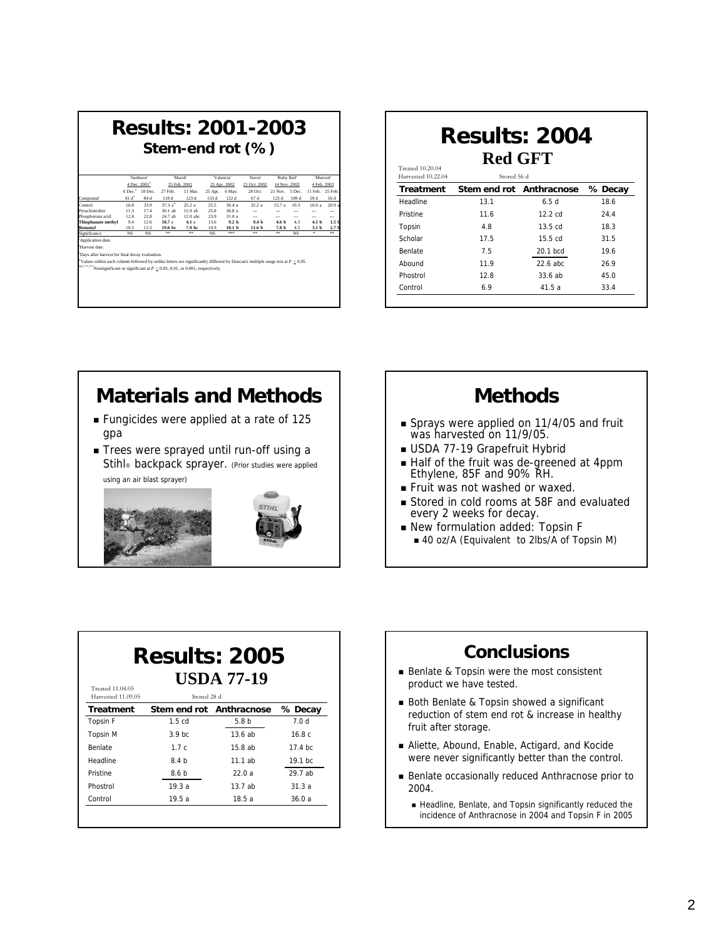| <b>Results: 2001-2003</b><br>Stem-end rot (%)                                                                                                                                                                     |           |                             |         |                  |           |                   |                          |                  |                 |                  |                  |
|-------------------------------------------------------------------------------------------------------------------------------------------------------------------------------------------------------------------|-----------|-----------------------------|---------|------------------|-----------|-------------------|--------------------------|------------------|-----------------|------------------|------------------|
|                                                                                                                                                                                                                   |           | 'Sunburst'                  |         | 'Marsh'          |           | 'Valencia'        | Navel                    | Ruby Red'        |                 |                  | "Murcott"        |
|                                                                                                                                                                                                                   |           | 4 Dec. 2001 <sup>z</sup>    |         | 25 Feb. 2002     |           | 23 Apr. 2002      | 21 Oct. 2002             | 14 Nov. 2002     |                 |                  | 4 Feb. 2003      |
|                                                                                                                                                                                                                   |           | 6 Dec. <sup>y</sup> 18 Dec. | 27 Feb. | 11 Mar.          | 25 Apr.   | 6 May.            | 28 Oct.                  | 21 Nov. 5 Dec.   |                 | 11 Feb. 25 Feb.  |                  |
| Compound                                                                                                                                                                                                          | $81d^*$   | 84 d                        | 118 d   | 123 d            | 133 d     | 122 d             | 67 d                     | 123 d            | 109 d           | 59 d             | 56 d             |
| Control                                                                                                                                                                                                           | 16.8      | 33.9                        | 373a''  | 252a             | 25.5      | 30.4a             | 32.2a                    | 157a             | 10 <sup>3</sup> | 100a             | 20.9             |
| Pyraclostrobin                                                                                                                                                                                                    | 11.3      | 17.4                        | 30.1 ab | 15.9 ab          | 25.8      | 36.8 a            | $\overline{\phantom{a}}$ |                  | $\sim$          |                  | ---              |
| Phosphorous acid                                                                                                                                                                                                  | 12.8      | 22.8                        | 24.7 ab | 12.0 abc         | 23.9      | 310a              | ---                      |                  | ---             |                  | ---              |
| Thiophanate methyl                                                                                                                                                                                                | 9.4       | 12.6                        | 10.7c   | 4.1 <sub>c</sub> | 13.6      | 9.2 <sub>b</sub>  | 9.4 <sub>h</sub>         | 4.6 <sub>b</sub> | 43              | 4.1 <sub>b</sub> | 1.5 <sub>1</sub> |
| Benomvl                                                                                                                                                                                                           | 10.3      | 12.2                        | 19.6 bc | 7.9 bc           | 10.9      | 10.1 <sub>b</sub> | 11.6 <sub>b</sub>        | 7.8 <sub>b</sub> | 4.5             | 3.1 <sub>b</sub> | 2.71             |
| Significance                                                                                                                                                                                                      | <b>NS</b> | <b>NS</b>                   | **      | **               | <b>NS</b> | ***               | **                       | 99               | NS.             | ÷.               | **               |
| Application date.                                                                                                                                                                                                 |           |                             |         |                  |           |                   |                          |                  |                 |                  |                  |
| Harvest date                                                                                                                                                                                                      |           |                             |         |                  |           |                   |                          |                  |                 |                  |                  |
| Days after harvest for final decay evaluation.                                                                                                                                                                    |           |                             |         |                  |           |                   |                          |                  |                 |                  |                  |
|                                                                                                                                                                                                                   |           |                             |         |                  |           |                   |                          |                  |                 |                  |                  |
| Values within each column followed by unlike letters are significantly different by Duncan's multiple range test at $P \le 0.05$ .<br>Nonsignificant or significant at $P < 0.05$ , 0.01, or 0.001, respectively. |           |                             |         |                  |           |                   |                          |                  |                 |                  |                  |
|                                                                                                                                                                                                                   |           |                             |         |                  |           |                   |                          |                  |                 |                  |                  |
|                                                                                                                                                                                                                   |           |                             |         |                  |           |                   |                          |                  |                 |                  |                  |
|                                                                                                                                                                                                                   |           |                             |         |                  |           |                   |                          |                  |                 |                  |                  |
|                                                                                                                                                                                                                   |           |                             |         |                  |           |                   |                          |                  |                 |                  |                  |

| <b>Results: 2004</b>                   |                          |                   |         |  |  |  |
|----------------------------------------|--------------------------|-------------------|---------|--|--|--|
|                                        | <b>Red GFT</b>           |                   |         |  |  |  |
| Treated 10.20.04<br>Harvested 10.22.04 | Stored 56 d              |                   |         |  |  |  |
| <b>Treatment</b>                       | Stem end rot Anthracnose |                   | % Decay |  |  |  |
| Headline                               | 131                      | 6.5d              | 18.6    |  |  |  |
| Pristine                               | 11.6                     | $12.2 \text{ cd}$ | 24.4    |  |  |  |
| Topsin                                 | 4.8                      | $13.5 \text{ cd}$ | 18.3    |  |  |  |
| Scholar                                | 17.5                     | $15.5 \text{ cd}$ | 31.5    |  |  |  |
| <b>Benlate</b>                         | 7.5                      | $20.1$ bcd        | 19.6    |  |  |  |
| Abound                                 | 119                      | 22.6 abc          | 26.9    |  |  |  |
| Phostrol                               | 12.8                     | 33.6ab            | 45.0    |  |  |  |
| Control                                | 6.9                      | 41.5a             | 33.4    |  |  |  |

### **Materials and Methods**

- Fungicides were applied at a rate of 125 gpa
- Trees were sprayed until run-off using a Stihl<sup>®</sup> backpack sprayer. (Prior studies were applied using an air blast sprayer)



### **Methods**

- Sprays were applied on 11/4/05 and fruit was harvested on 11/9/05.
- USDA 77-19 Grapefruit Hybrid
- Half of the fruit was de-greened at 4ppm Ethylene, 85F and 90% RH.
- Fruit was not washed or waxed.
- Stored in cold rooms at 58F and evaluated every 2 weeks for decay.
- New formulation added: Topsin F ■ 40 oz/A (Equivalent to 2lbs/A of Topsin M)

#### **Results: 2005 USDA 77-19** Treated 11.04.05

| Harvested 11.09.05 | Stored 28 d              |                  |                  |
|--------------------|--------------------------|------------------|------------------|
| <b>Treatment</b>   | Stem end rot Anthracnose |                  | % Decay          |
| Topsin F           | 1.5 <sub>cd</sub>        | 5.8 <sub>b</sub> | 7.0 <sub>d</sub> |
| <b>Topsin M</b>    | 3.9 <sub>bc</sub>        | 13.6ab           | 16.8c            |
| <b>Benlate</b>     | 1.7c                     | 15.8ab           | 17.4 bc.         |
| Headline           | 8.4 <sub>b</sub>         | 11.1ab           | $19.1$ bc.       |
| Pristine           | 8.6 b                    | 22.0a            | 29.7 ab          |
| Phostrol           | 19.3a                    | 13.7ab           | 31.3a            |
| Control            | 19.5a                    | 18.5a            | 36.0a            |

### **Conclusions**

- Benlate & Topsin were the most consistent product we have tested.
- Both Benlate & Topsin showed a significant reduction of stem end rot & increase in healthy fruit after storage.
- Aliette, Abound, Enable, Actigard, and Kocide were never significantly better than the control.
- Benlate occasionally reduced Anthracnose prior to 2004.
	- Headline, Benlate, and Topsin significantly reduced the incidence of Anthracnose in 2004 and Topsin F in 2005